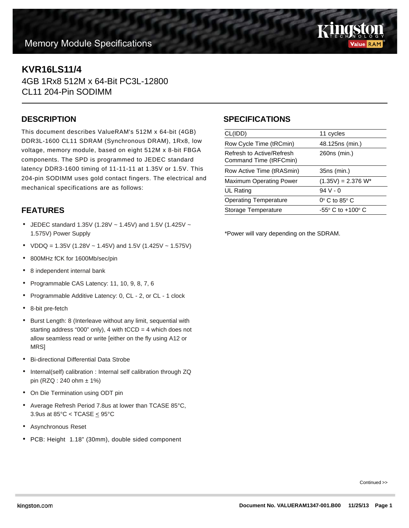# **Memory Module Specifications**



## **KVR16LS11/4**

4GB 1Rx8 512M x 64-Bit PC3L-12800 CL11 204-Pin SODIMM

#### **DESCRIPTION**

This document describes ValueRAM's 512M x 64-bit (4GB) DDR3L-1600 CL11 SDRAM (Synchronous DRAM), 1Rx8, low voltage, memory module, based on eight 512M x 8-bit FBGA components. The SPD is programmed to JEDEC standard latency DDR3-1600 timing of 11-11-11 at 1.35V or 1.5V. This 204-pin SODIMM uses gold contact fingers. The electrical and mechanical specifications are as follows:

### **FEATURES**

- JEDEC standard 1.35V (1.28V  $\sim$  1.45V) and 1.5V (1.425V  $\sim$ 1.575V) Power Supply
- VDDQ = 1.35V (1.28V ~ 1.45V) and 1.5V (1.425V ~ 1.575V)
- 800MHz fCK for 1600Mb/sec/pin
- 8 independent internal bank
- Programmable CAS Latency: 11, 10, 9, 8, 7, 6
- Programmable Additive Latency: 0, CL 2, or CL 1 clock
- 8-bit pre-fetch
- Burst Length: 8 (Interleave without any limit, sequential with starting address "000" only), 4 with  $tCCD = 4$  which does not allow seamless read or write [either on the fly using A12 or **MRS1**
- Bi-directional Differential Data Strobe
- Internal(self) calibration : Internal self calibration through ZQ pin (RZQ : 240 ohm ± 1%)
- On Die Termination using ODT pin
- Average Refresh Period 7.8us at lower than TCASE 85°C, 3.9us at  $85^{\circ}$ C < TCASE  $\leq$  95 $^{\circ}$ C
- Asynchronous Reset
- PCB: Height 1.18" (30mm), double sided component

#### **SPECIFICATIONS**

| CL(IDD)                                             | 11 cycles                           |
|-----------------------------------------------------|-------------------------------------|
| Row Cycle Time (tRCmin)                             | 48.125ns (min.)                     |
| Refresh to Active/Refresh<br>Command Time (tRFCmin) | 260ns (min.)                        |
| Row Active Time (tRASmin)                           | 35ns (min.)                         |
| <b>Maximum Operating Power</b>                      | $(1.35V) = 2.376 W^*$               |
| <b>UL Rating</b>                                    | $94V - 0$                           |
| <b>Operating Temperature</b>                        | $0^\circ$ C to 85 $^\circ$ C        |
| Storage Temperature                                 | $-55^{\circ}$ C to $+100^{\circ}$ C |
|                                                     |                                     |

\*Power will vary depending on the SDRAM.

Continued >>